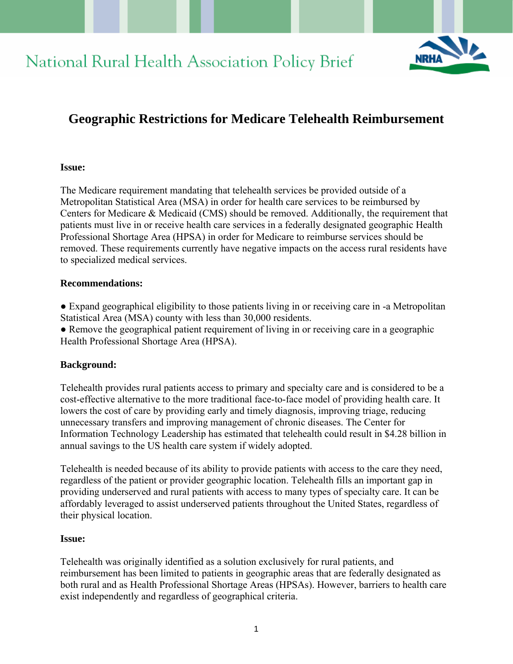



# **Geographic Restrictions for Medicare Telehealth Reimbursement**

#### **Issue:**

The Medicare requirement mandating that telehealth services be provided outside of a Metropolitan Statistical Area (MSA) in order for health care services to be reimbursed by Centers for Medicare & Medicaid (CMS) should be removed. Additionally, the requirement that patients must live in or receive health care services in a federally designated geographic Health Professional Shortage Area (HPSA) in order for Medicare to reimburse services should be removed. These requirements currently have negative impacts on the access rural residents have to specialized medical services.

### **Recommendations:**

• Expand geographical eligibility to those patients living in or receiving care in -a Metropolitan Statistical Area (MSA) county with less than 30,000 residents.

● Remove the geographical patient requirement of living in or receiving care in a geographic Health Professional Shortage Area (HPSA).

### **Background:**

Telehealth provides rural patients access to primary and specialty care and is considered to be a cost-effective alternative to the more traditional face-to-face model of providing health care. It lowers the cost of care by providing early and timely diagnosis, improving triage, reducing unnecessary transfers and improving management of chronic diseases. The Center for Information Technology Leadership has estimated that telehealth could result in \$4.28 billion in annual savings to the US health care system if widely adopted.

Telehealth is needed because of its ability to provide patients with access to the care they need, regardless of the patient or provider geographic location. Telehealth fills an important gap in providing underserved and rural patients with access to many types of specialty care. It can be affordably leveraged to assist underserved patients throughout the United States, regardless of their physical location.

### **Issue:**

Telehealth was originally identified as a solution exclusively for rural patients, and reimbursement has been limited to patients in geographic areas that are federally designated as both rural and as Health Professional Shortage Areas (HPSAs). However, barriers to health care exist independently and regardless of geographical criteria.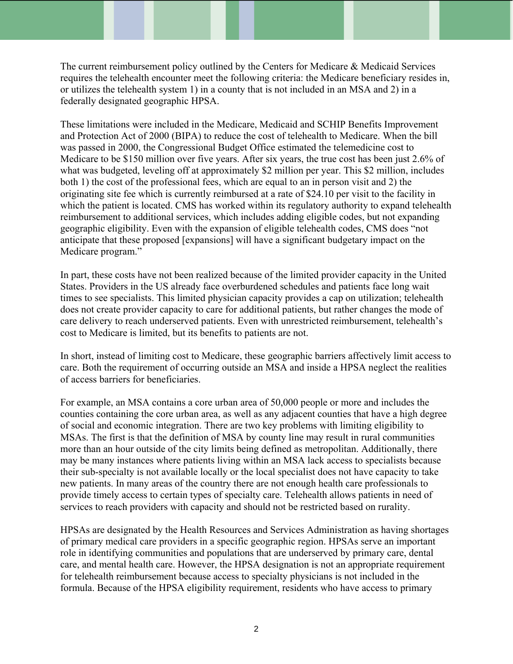The current reimbursement policy outlined by the Centers for Medicare & Medicaid Services requires the telehealth encounter meet the following criteria: the Medicare beneficiary resides in, or utilizes the telehealth system 1) in a county that is not included in an MSA and 2) in a federally designated geographic HPSA.

These limitations were included in the Medicare, Medicaid and SCHIP Benefits Improvement and Protection Act of 2000 (BIPA) to reduce the cost of telehealth to Medicare. When the bill was passed in 2000, the Congressional Budget Office estimated the telemedicine cost to Medicare to be \$150 million over five years. After six years, the true cost has been just 2.6% of what was budgeted, leveling off at approximately \$2 million per year. This \$2 million, includes both 1) the cost of the professional fees, which are equal to an in person visit and 2) the originating site fee which is currently reimbursed at a rate of \$24.10 per visit to the facility in which the patient is located. CMS has worked within its regulatory authority to expand telehealth reimbursement to additional services, which includes adding eligible codes, but not expanding geographic eligibility. Even with the expansion of eligible telehealth codes, CMS does "not anticipate that these proposed [expansions] will have a significant budgetary impact on the Medicare program."

In part, these costs have not been realized because of the limited provider capacity in the United States. Providers in the US already face overburdened schedules and patients face long wait times to see specialists. This limited physician capacity provides a cap on utilization; telehealth does not create provider capacity to care for additional patients, but rather changes the mode of care delivery to reach underserved patients. Even with unrestricted reimbursement, telehealth's cost to Medicare is limited, but its benefits to patients are not.

In short, instead of limiting cost to Medicare, these geographic barriers affectively limit access to care. Both the requirement of occurring outside an MSA and inside a HPSA neglect the realities of access barriers for beneficiaries.

For example, an MSA contains a core urban area of 50,000 people or more and includes the counties containing the core urban area, as well as any adjacent counties that have a high degree of social and economic integration. There are two key problems with limiting eligibility to MSAs. The first is that the definition of MSA by county line may result in rural communities more than an hour outside of the city limits being defined as metropolitan. Additionally, there may be many instances where patients living within an MSA lack access to specialists because their sub-specialty is not available locally or the local specialist does not have capacity to take new patients. In many areas of the country there are not enough health care professionals to provide timely access to certain types of specialty care. Telehealth allows patients in need of services to reach providers with capacity and should not be restricted based on rurality.

HPSAs are designated by the Health Resources and Services Administration as having shortages of primary medical care providers in a specific geographic region. HPSAs serve an important role in identifying communities and populations that are underserved by primary care, dental care, and mental health care. However, the HPSA designation is not an appropriate requirement for telehealth reimbursement because access to specialty physicians is not included in the formula. Because of the HPSA eligibility requirement, residents who have access to primary